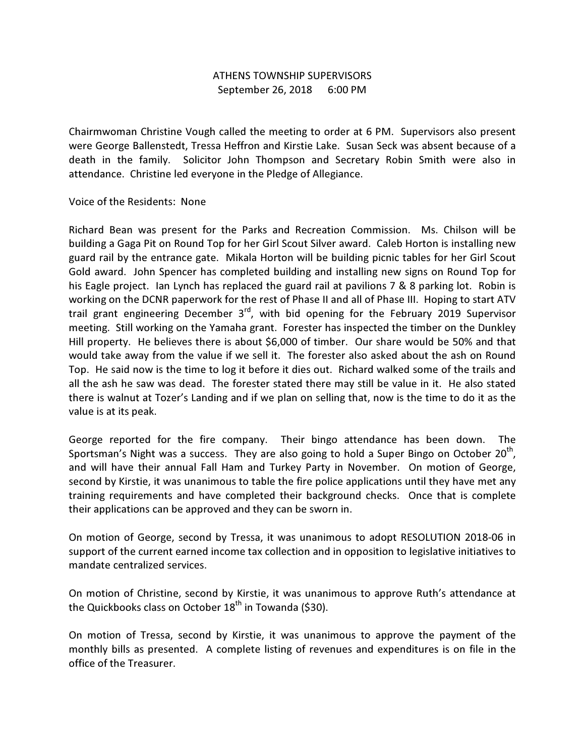## ATHENS TOWNSHIP SUPERVISORS September 26, 2018 6:00 PM

Chairmwoman Christine Vough called the meeting to order at 6 PM. Supervisors also present were George Ballenstedt, Tressa Heffron and Kirstie Lake. Susan Seck was absent because of a death in the family. Solicitor John Thompson and Secretary Robin Smith were also in attendance. Christine led everyone in the Pledge of Allegiance.

Voice of the Residents: None

Richard Bean was present for the Parks and Recreation Commission. Ms. Chilson will be building a Gaga Pit on Round Top for her Girl Scout Silver award. Caleb Horton is installing new guard rail by the entrance gate. Mikala Horton will be building picnic tables for her Girl Scout Gold award. John Spencer has completed building and installing new signs on Round Top for his Eagle project. Ian Lynch has replaced the guard rail at pavilions 7 & 8 parking lot. Robin is working on the DCNR paperwork for the rest of Phase II and all of Phase III. Hoping to start ATV trail grant engineering December  $3<sup>rd</sup>$ , with bid opening for the February 2019 Supervisor meeting. Still working on the Yamaha grant. Forester has inspected the timber on the Dunkley Hill property. He believes there is about \$6,000 of timber. Our share would be 50% and that would take away from the value if we sell it. The forester also asked about the ash on Round Top. He said now is the time to log it before it dies out. Richard walked some of the trails and all the ash he saw was dead. The forester stated there may still be value in it. He also stated there is walnut at Tozer's Landing and if we plan on selling that, now is the time to do it as the value is at its peak.

George reported for the fire company. Their bingo attendance has been down. The Sportsman's Night was a success. They are also going to hold a Super Bingo on October 20<sup>th</sup>, and will have their annual Fall Ham and Turkey Party in November. On motion of George, second by Kirstie, it was unanimous to table the fire police applications until they have met any training requirements and have completed their background checks. Once that is complete their applications can be approved and they can be sworn in.

On motion of George, second by Tressa, it was unanimous to adopt RESOLUTION 2018-06 in support of the current earned income tax collection and in opposition to legislative initiatives to mandate centralized services.

On motion of Christine, second by Kirstie, it was unanimous to approve Ruth's attendance at the Quickbooks class on October  $18<sup>th</sup>$  in Towanda (\$30).

On motion of Tressa, second by Kirstie, it was unanimous to approve the payment of the monthly bills as presented. A complete listing of revenues and expenditures is on file in the office of the Treasurer.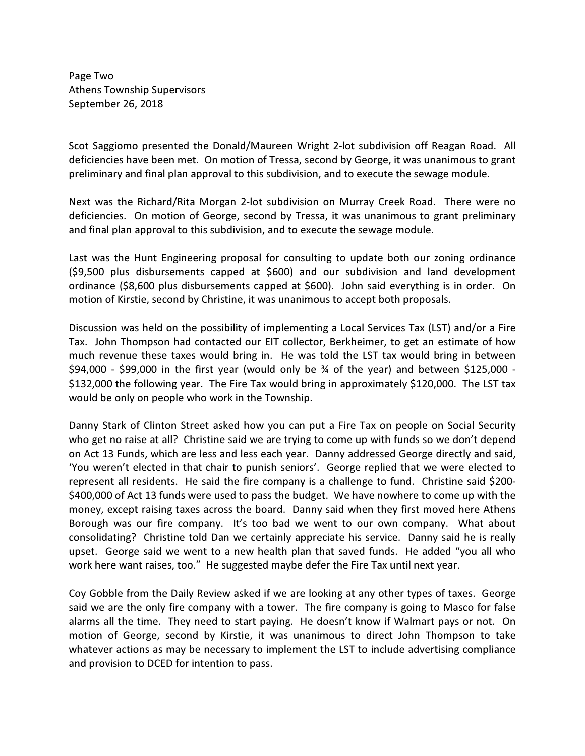Page Two Athens Township Supervisors September 26, 2018

Scot Saggiomo presented the Donald/Maureen Wright 2-lot subdivision off Reagan Road. All deficiencies have been met. On motion of Tressa, second by George, it was unanimous to grant preliminary and final plan approval to this subdivision, and to execute the sewage module.

Next was the Richard/Rita Morgan 2-lot subdivision on Murray Creek Road. There were no deficiencies. On motion of George, second by Tressa, it was unanimous to grant preliminary and final plan approval to this subdivision, and to execute the sewage module.

Last was the Hunt Engineering proposal for consulting to update both our zoning ordinance (\$9,500 plus disbursements capped at \$600) and our subdivision and land development ordinance (\$8,600 plus disbursements capped at \$600). John said everything is in order. On motion of Kirstie, second by Christine, it was unanimous to accept both proposals.

Discussion was held on the possibility of implementing a Local Services Tax (LST) and/or a Fire Tax. John Thompson had contacted our EIT collector, Berkheimer, to get an estimate of how much revenue these taxes would bring in. He was told the LST tax would bring in between  $$94,000$  - \$99,000 in the first year (would only be  $\frac{3}{4}$  of the year) and between \$125,000 -\$132,000 the following year. The Fire Tax would bring in approximately \$120,000. The LST tax would be only on people who work in the Township.

Danny Stark of Clinton Street asked how you can put a Fire Tax on people on Social Security who get no raise at all? Christine said we are trying to come up with funds so we don't depend on Act 13 Funds, which are less and less each year. Danny addressed George directly and said, 'You weren't elected in that chair to punish seniors'. George replied that we were elected to represent all residents. He said the fire company is a challenge to fund. Christine said \$200- \$400,000 of Act 13 funds were used to pass the budget. We have nowhere to come up with the money, except raising taxes across the board. Danny said when they first moved here Athens Borough was our fire company. It's too bad we went to our own company. What about consolidating? Christine told Dan we certainly appreciate his service. Danny said he is really upset. George said we went to a new health plan that saved funds. He added "you all who work here want raises, too." He suggested maybe defer the Fire Tax until next year.

Coy Gobble from the Daily Review asked if we are looking at any other types of taxes. George said we are the only fire company with a tower. The fire company is going to Masco for false alarms all the time. They need to start paying. He doesn't know if Walmart pays or not. On motion of George, second by Kirstie, it was unanimous to direct John Thompson to take whatever actions as may be necessary to implement the LST to include advertising compliance and provision to DCED for intention to pass.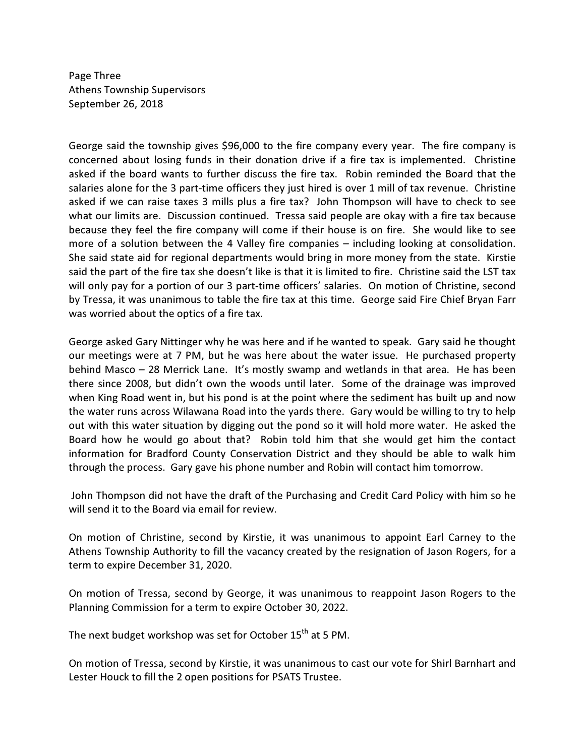Page Three Athens Township Supervisors September 26, 2018

George said the township gives \$96,000 to the fire company every year. The fire company is concerned about losing funds in their donation drive if a fire tax is implemented. Christine asked if the board wants to further discuss the fire tax. Robin reminded the Board that the salaries alone for the 3 part-time officers they just hired is over 1 mill of tax revenue. Christine asked if we can raise taxes 3 mills plus a fire tax? John Thompson will have to check to see what our limits are. Discussion continued. Tressa said people are okay with a fire tax because because they feel the fire company will come if their house is on fire. She would like to see more of a solution between the 4 Valley fire companies – including looking at consolidation. She said state aid for regional departments would bring in more money from the state. Kirstie said the part of the fire tax she doesn't like is that it is limited to fire. Christine said the LST tax will only pay for a portion of our 3 part-time officers' salaries. On motion of Christine, second by Tressa, it was unanimous to table the fire tax at this time. George said Fire Chief Bryan Farr was worried about the optics of a fire tax.

George asked Gary Nittinger why he was here and if he wanted to speak. Gary said he thought our meetings were at 7 PM, but he was here about the water issue. He purchased property behind Masco – 28 Merrick Lane. It's mostly swamp and wetlands in that area. He has been there since 2008, but didn't own the woods until later. Some of the drainage was improved when King Road went in, but his pond is at the point where the sediment has built up and now the water runs across Wilawana Road into the yards there. Gary would be willing to try to help out with this water situation by digging out the pond so it will hold more water. He asked the Board how he would go about that? Robin told him that she would get him the contact information for Bradford County Conservation District and they should be able to walk him through the process. Gary gave his phone number and Robin will contact him tomorrow.

 John Thompson did not have the draft of the Purchasing and Credit Card Policy with him so he will send it to the Board via email for review.

On motion of Christine, second by Kirstie, it was unanimous to appoint Earl Carney to the Athens Township Authority to fill the vacancy created by the resignation of Jason Rogers, for a term to expire December 31, 2020.

On motion of Tressa, second by George, it was unanimous to reappoint Jason Rogers to the Planning Commission for a term to expire October 30, 2022.

The next budget workshop was set for October 15<sup>th</sup> at 5 PM.

On motion of Tressa, second by Kirstie, it was unanimous to cast our vote for Shirl Barnhart and Lester Houck to fill the 2 open positions for PSATS Trustee.